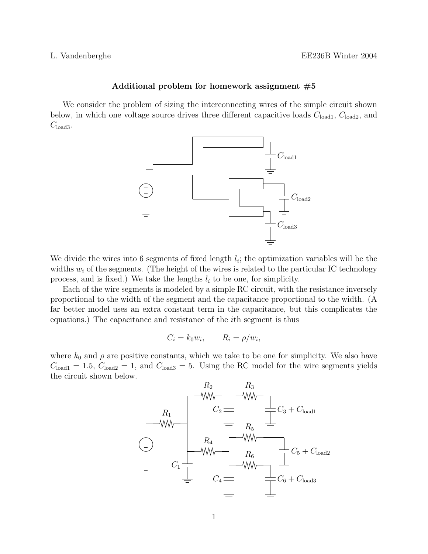## Additional problem for homework assignment  $#5$

We consider the problem of sizing the interconnecting wires of the simple circuit shown below, in which one voltage source drives three different capacitive loads  $C_{load1}$ ,  $C_{load2}$ , and  $C_{\text{load3}}$ .



We divide the wires into 6 segments of fixed length  $l_i$ ; the optimization variables will be the widths  $w_i$  of the segments. (The height of the wires is related to the particular IC technology process, and is fixed.) We take the lengths  $l_i$  to be one, for simplicity.

Each of the wire segments is modeled by a simple RC circuit, with the resistance inversely proportional to the width of the segment and the capacitance proportional to the width. (A far better model uses an extra constant term in the capacitance, but this complicates the equations.) The capacitance and resistance of the ith segment is thus

$$
C_i = k_0 w_i, \qquad R_i = \rho/w_i,
$$

where  $k_0$  and  $\rho$  are positive constants, which we take to be one for simplicity. We also have  $C_{\text{load1c}} = 1.5, C_{\text{load2}} = 1$ , and  $C_{\text{load3}} = 5$ . Using the RC model for the wire segments yields the circuit shown below. PSfrag replacements